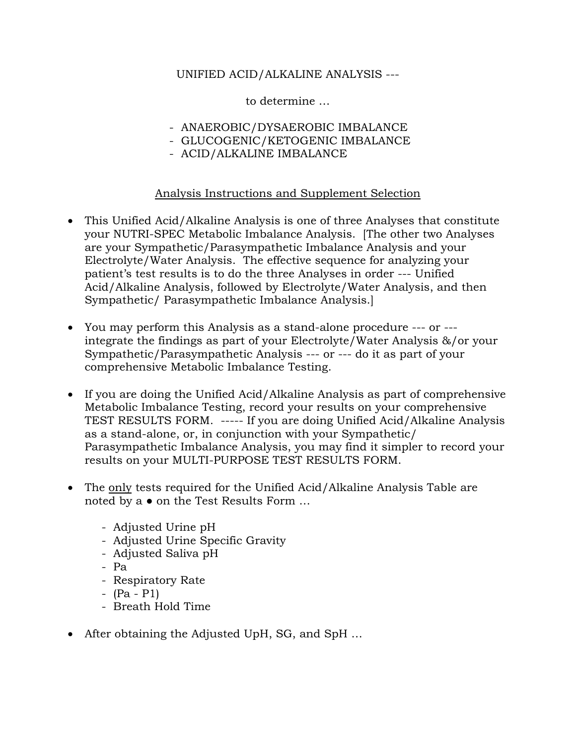# UNIFIED ACID/ALKALINE ANALYSIS ---

to determine …

- ANAEROBIC/DYSAEROBIC IMBALANCE
- GLUCOGENIC/KETOGENIC IMBALANCE
- ACID/ALKALINE IMBALANCE

## Analysis Instructions and Supplement Selection

- This Unified Acid/Alkaline Analysis is one of three Analyses that constitute your NUTRI-SPEC Metabolic Imbalance Analysis. [The other two Analyses are your Sympathetic/Parasympathetic Imbalance Analysis and your Electrolyte/Water Analysis. The effective sequence for analyzing your patient's test results is to do the three Analyses in order --- Unified Acid/Alkaline Analysis, followed by Electrolyte/Water Analysis, and then Sympathetic/ Parasympathetic Imbalance Analysis.]
- You may perform this Analysis as a stand-alone procedure --- or -- integrate the findings as part of your Electrolyte/Water Analysis &/or your Sympathetic/Parasympathetic Analysis --- or --- do it as part of your comprehensive Metabolic Imbalance Testing.
- If you are doing the Unified Acid/Alkaline Analysis as part of comprehensive Metabolic Imbalance Testing, record your results on your comprehensive TEST RESULTS FORM. ----- If you are doing Unified Acid/Alkaline Analysis as a stand-alone, or, in conjunction with your Sympathetic/ Parasympathetic Imbalance Analysis, you may find it simpler to record your results on your MULTI-PURPOSE TEST RESULTS FORM.
- The only tests required for the Unified Acid/Alkaline Analysis Table are noted by a ● on the Test Results Form …
	- Adjusted Urine pH
	- Adjusted Urine Specific Gravity
	- Adjusted Saliva pH
	- Pa
	- Respiratory Rate
	- (Pa P1)
	- Breath Hold Time
- After obtaining the Adjusted UpH, SG, and SpH ...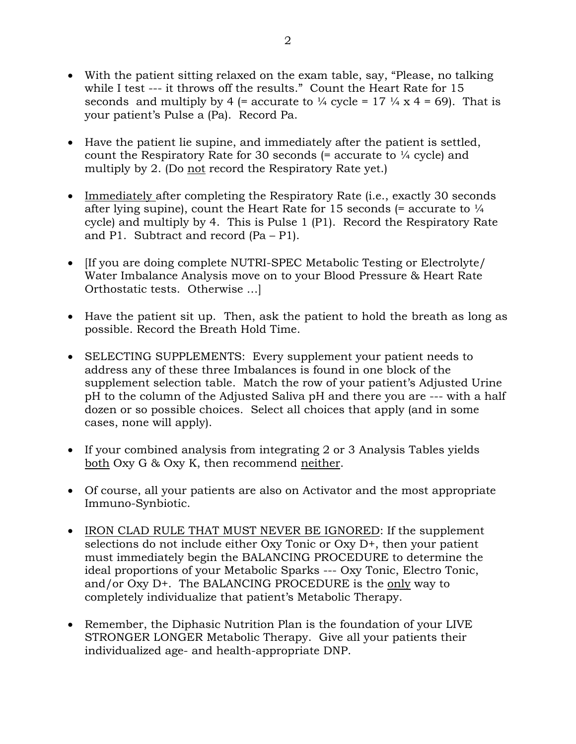- With the patient sitting relaxed on the exam table, say, "Please, no talking while I test --- it throws off the results." Count the Heart Rate for 15 seconds and multiply by 4 (= accurate to  $\frac{1}{4}$  cycle = 17  $\frac{1}{4}$  x 4 = 69). That is your patient's Pulse a (Pa). Record Pa.
- Have the patient lie supine, and immediately after the patient is settled, count the Respiratory Rate for 30 seconds  $(=$  accurate to  $\frac{1}{4}$  cycle) and multiply by 2. (Do not record the Respiratory Rate yet.)
- Immediately after completing the Respiratory Rate (i.e., exactly 30 seconds after lying supine), count the Heart Rate for 15 seconds (= accurate to  $\frac{1}{4}$ cycle) and multiply by 4. This is Pulse 1 (P1). Record the Respiratory Rate and P1. Subtract and record (Pa – P1).
- If you are doing complete NUTRI-SPEC Metabolic Testing or Electrolyte/ Water Imbalance Analysis move on to your Blood Pressure & Heart Rate Orthostatic tests. Otherwise …]
- Have the patient sit up. Then, ask the patient to hold the breath as long as possible. Record the Breath Hold Time.
- SELECTING SUPPLEMENTS: Every supplement your patient needs to address any of these three Imbalances is found in one block of the supplement selection table. Match the row of your patient's Adjusted Urine pH to the column of the Adjusted Saliva pH and there you are --- with a half dozen or so possible choices. Select all choices that apply (and in some cases, none will apply).
- If your combined analysis from integrating 2 or 3 Analysis Tables yields both Oxy G & Oxy K, then recommend neither.
- Of course, all your patients are also on Activator and the most appropriate Immuno-Synbiotic.
- IRON CLAD RULE THAT MUST NEVER BE IGNORED: If the supplement selections do not include either Oxy Tonic or Oxy D+, then your patient must immediately begin the BALANCING PROCEDURE to determine the ideal proportions of your Metabolic Sparks --- Oxy Tonic, Electro Tonic, and/or Oxy D+. The BALANCING PROCEDURE is the only way to completely individualize that patient's Metabolic Therapy.
- Remember, the Diphasic Nutrition Plan is the foundation of your LIVE STRONGER LONGER Metabolic Therapy. Give all your patients their individualized age- and health-appropriate DNP.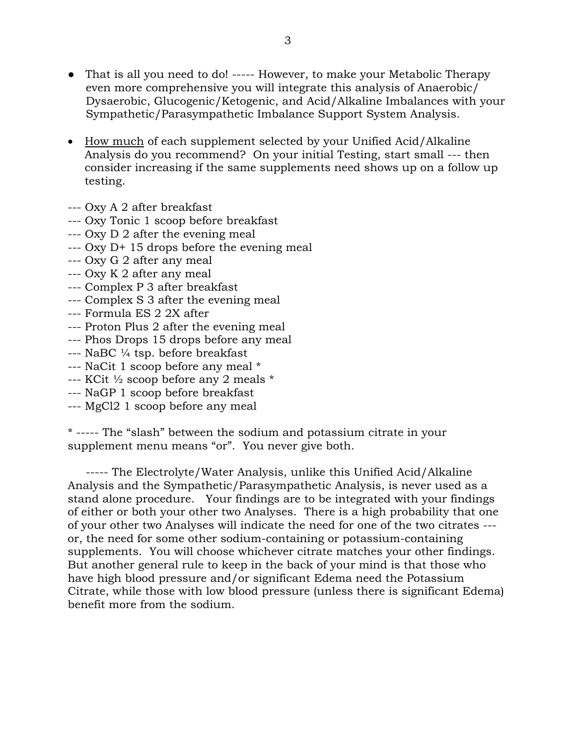- That is all you need to do! ----- However, to make your Metabolic Therapy even more comprehensive you will integrate this analysis of Anaerobic/ Dysaerobic, Glucogenic/Ketogenic, and Acid/Alkaline Imbalances with your Sympathetic/Parasympathetic Imbalance Support System Analysis.
- How much of each supplement selected by your Unified Acid/Alkaline Analysis do you recommend? On your initial Testing, start small --- then consider increasing if the same supplements need shows up on a follow up testing.
- --- Oxy A 2 after breakfast
- --- Oxy Tonic 1 scoop before breakfast
- --- Oxy D 2 after the evening meal
- --- Oxy D+ 15 drops before the evening meal
- --- Oxy G 2 after any meal
- --- Oxy K 2 after any meal
- --- Complex P 3 after breakfast
- --- Complex S 3 after the evening meal
- --- Formula ES 2 2X after
- --- Proton Plus 2 after the evening meal
- --- Phos Drops 15 drops before any meal
- --- NaBC ¼ tsp. before breakfast
- --- NaCit 1 scoop before any meal \*
- --- KCit ½ scoop before any 2 meals \*
- --- NaGP 1 scoop before breakfast
- --- MgCl2 1 scoop before any meal

\* ----- The "slash" between the sodium and potassium citrate in your supplement menu means "or". You never give both.

 ----- The Electrolyte/Water Analysis, unlike this Unified Acid/Alkaline Analysis and the Sympathetic/Parasympathetic Analysis, is never used as a stand alone procedure. Your findings are to be integrated with your findings of either or both your other two Analyses. There is a high probability that one of your other two Analyses will indicate the need for one of the two citrates -- or, the need for some other sodium-containing or potassium-containing supplements. You will choose whichever citrate matches your other findings. But another general rule to keep in the back of your mind is that those who have high blood pressure and/or significant Edema need the Potassium Citrate, while those with low blood pressure (unless there is significant Edema) benefit more from the sodium.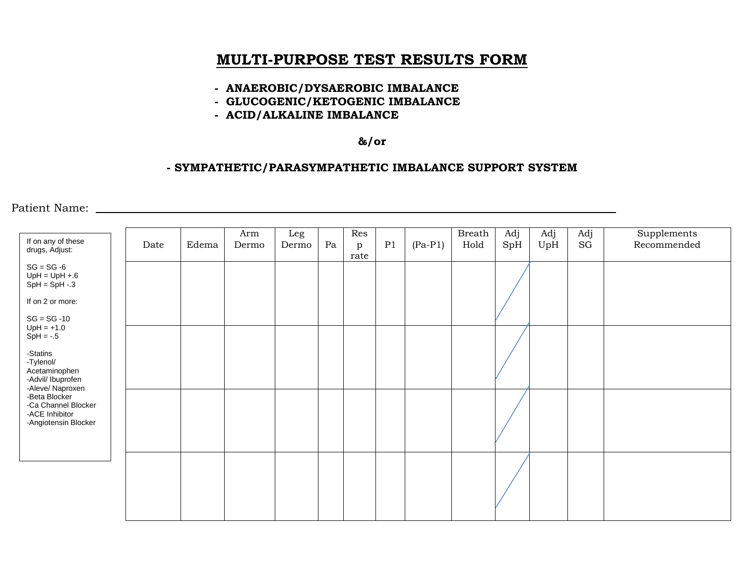# **MULTI-PURPOSE TEST RESULTS FORM**

#### **- ANAEROBIC/DYSAEROBIC IMBALANCE**

- **GLUCOGENIC/KETOGENIC IMBALANCE**
- **ACID/ALKALINE IMBALANCE**

### **&/or**

#### **- SYMPATHETIC/PARASYMPATHETIC IMBALANCE SUPPORT SYSTEM**

Patient Name:

| If on any of these<br>drugs, Adjust:                                                                                                                                                                               | Date | Edema | Arm<br>Dermo | Leg<br>Dermo | Pa | Res<br>p<br>rate | P1 | $(Pa-P1)$ | Breath  <br>Hold | Adj<br>SpH | Adj<br>UpH | Adj<br>SG | Supplements<br>Recommended |
|--------------------------------------------------------------------------------------------------------------------------------------------------------------------------------------------------------------------|------|-------|--------------|--------------|----|------------------|----|-----------|------------------|------------|------------|-----------|----------------------------|
| $SG = SG -6$<br>$UpH = UpH + 6$<br>$SpH = SpH - 3$                                                                                                                                                                 |      |       |              |              |    |                  |    |           |                  |            |            |           |                            |
| If on 2 or more:                                                                                                                                                                                                   |      |       |              |              |    |                  |    |           |                  |            |            |           |                            |
| $SG = SG -10$<br>$UpH = +1.0$<br>$SpH = -0.5$<br>-Statins<br>-Tylenol/<br>Acetaminophen<br>-Advil/ Ibuprofen<br>-Aleve/ Naproxen<br>-Beta Blocker<br>-Ca Channel Blocker<br>-ACE Inhibitor<br>-Angiotensin Blocker |      |       |              |              |    |                  |    |           |                  |            |            |           |                            |
|                                                                                                                                                                                                                    |      |       |              |              |    |                  |    |           |                  |            |            |           |                            |
|                                                                                                                                                                                                                    |      |       |              |              |    |                  |    |           |                  |            |            |           |                            |
|                                                                                                                                                                                                                    |      |       |              |              |    |                  |    |           |                  |            |            |           |                            |
|                                                                                                                                                                                                                    |      |       |              |              |    |                  |    |           |                  |            |            |           |                            |
|                                                                                                                                                                                                                    |      |       |              |              |    |                  |    |           |                  |            |            |           |                            |